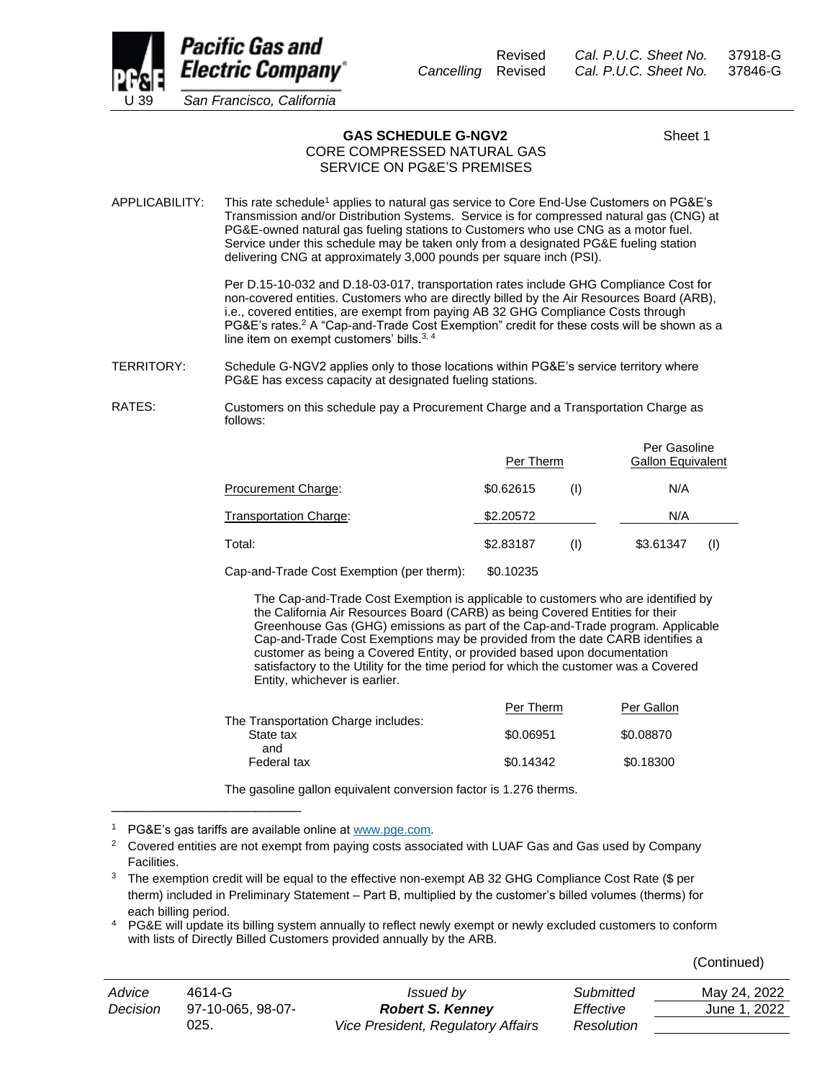

Revised *Cal. P.U.C. Sheet No.* 37918-G *Cancelling* Revised *Cal. P.U.C. Sheet No.* 37846-G

GAS SCHEDULE G-NGV2 Sheet 1

## CORE COMPRESSED NATURAL GAS SERVICE ON PG&E'S PREMISES

APPLICABILITY: This rate schedule<sup>1</sup> applies to natural gas service to Core End-Use Customers on PG&E's Transmission and/or Distribution Systems. Service is for compressed natural gas (CNG) at PG&E-owned natural gas fueling stations to Customers who use CNG as a motor fuel. Service under this schedule may be taken only from a designated PG&E fueling station delivering CNG at approximately 3,000 pounds per square inch (PSI).

> Per D.15-10-032 and D.18-03-017, transportation rates include GHG Compliance Cost for non-covered entities. Customers who are directly billed by the Air Resources Board (ARB), i.e., covered entities, are exempt from paying AB 32 GHG Compliance Costs through PG&E's rates.<sup>2</sup> A "Cap-and-Trade Cost Exemption" credit for these costs will be shown as a line item on exempt customers' bills.<sup>3, 4</sup>

- TERRITORY: Schedule G-NGV2 applies only to those locations within PG&E's service territory where PG&E has excess capacity at designated fueling stations.
- RATES: Customers on this schedule pay a Procurement Charge and a Transportation Charge as follows:

|                                          | Per Therm |     | Per Gasoline<br><b>Gallon Equivalent</b> |     |
|------------------------------------------|-----------|-----|------------------------------------------|-----|
| Procurement Charge:                      | \$0.62615 | (1) | N/A                                      |     |
| <b>Transportation Charge:</b>            | \$2.20572 |     | N/A                                      |     |
| Total:                                   | \$2,83187 | (1) | \$3.61347                                | (1) |
| Can and Trade Coot Examption (nor thorm) | 0.40225   |     |                                          |     |

Cap-and-Trade Cost Exemption (per therm): \$0.10235

The Cap-and-Trade Cost Exemption is applicable to customers who are identified by the California Air Resources Board (CARB) as being Covered Entities for their Greenhouse Gas (GHG) emissions as part of the Cap-and-Trade program. Applicable Cap-and-Trade Cost Exemptions may be provided from the date CARB identifies a customer as being a Covered Entity, or provided based upon documentation satisfactory to the Utility for the time period for which the customer was a Covered Entity, whichever is earlier.

|                                                  | Per Therm | Per Gallon |
|--------------------------------------------------|-----------|------------|
| The Transportation Charge includes:<br>State tax | \$0.06951 | \$0.08870  |
| and<br>Federal tax                               | \$0.14342 | \$0.18300  |

The gasoline gallon equivalent conversion factor is 1.276 therms.

\_\_\_\_\_\_\_\_\_\_\_\_\_\_\_\_\_\_\_\_\_\_\_\_\_

 $3$  The exemption credit will be equal to the effective non-exempt AB 32 GHG Compliance Cost Rate (\$ per therm) included in Preliminary Statement – Part B, multiplied by the customer's billed volumes (therms) for each billing period.

<sup>4</sup> PG&E will update its billing system annually to reflect newly exempt or newly excluded customers to conform with lists of Directly Billed Customers provided annually by the ARB.

(Continued)

| Advice   | 4614-G            | <i>Issued by</i>                          | Submitted  | May 24, 2022 |
|----------|-------------------|-------------------------------------------|------------|--------------|
| Decision | 97-10-065, 98-07- | <b>Robert S. Kenney</b>                   | Effective  | June 1, 2022 |
|          | 025.              | <b>Vice President, Regulatory Affairs</b> | Resolution |              |

<sup>&</sup>lt;sup>1</sup> PG&E's gas tariffs are available online at [www.pge.com.](http://www.pge.com/)

 $2^{\circ}$  Covered entities are not exempt from paying costs associated with LUAF Gas and Gas used by Company Facilities.